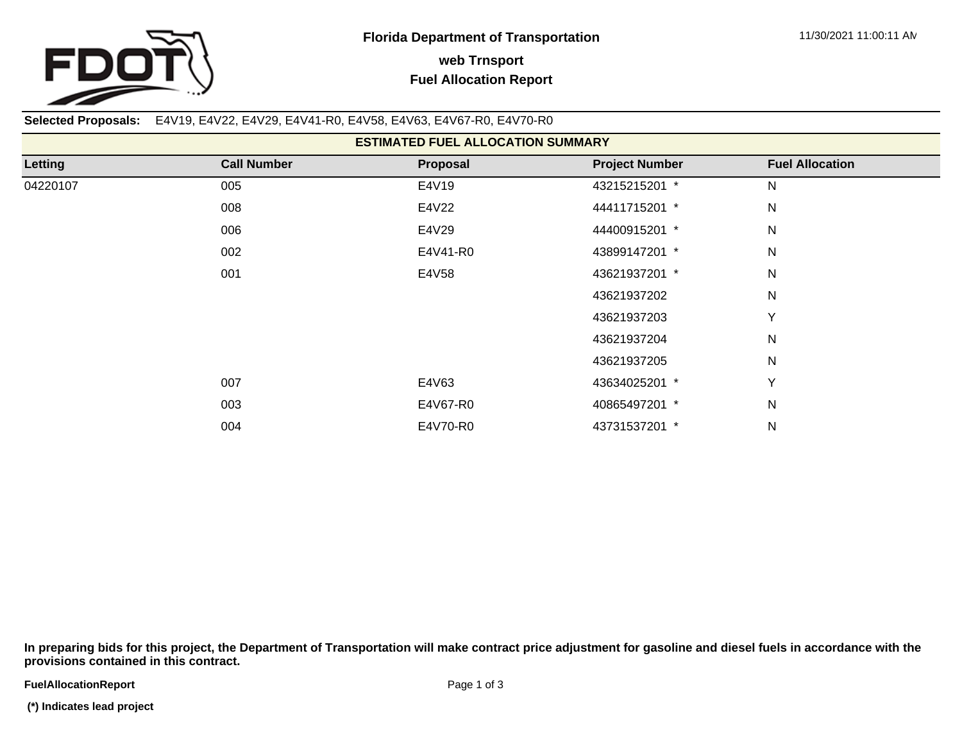

**Selected Proposals:** E4V19, E4V22, E4V29, E4V41-R0, E4V58, E4V63, E4V67-R0, E4V70-R0

| <b>ESTIMATED FUEL ALLOCATION SUMMARY</b> |                    |          |                       |                        |  |  |  |  |
|------------------------------------------|--------------------|----------|-----------------------|------------------------|--|--|--|--|
| Letting                                  | <b>Call Number</b> | Proposal | <b>Project Number</b> | <b>Fuel Allocation</b> |  |  |  |  |
| 04220107                                 | 005                | E4V19    | 43215215201 *         | N                      |  |  |  |  |
|                                          | 008                | E4V22    | 44411715201 *         | N                      |  |  |  |  |
|                                          | 006                | E4V29    | 44400915201 *         | N                      |  |  |  |  |
|                                          | 002                | E4V41-R0 | 43899147201 *         | N                      |  |  |  |  |
|                                          | 001                | E4V58    | 43621937201 *         | N                      |  |  |  |  |
|                                          |                    |          | 43621937202           | N                      |  |  |  |  |
|                                          |                    |          | 43621937203           | Y                      |  |  |  |  |
|                                          |                    |          | 43621937204           | N                      |  |  |  |  |
|                                          |                    |          | 43621937205           | $\mathsf{N}$           |  |  |  |  |
|                                          | 007                | E4V63    | 43634025201 *         | Y                      |  |  |  |  |
|                                          | 003                | E4V67-R0 | 40865497201 *         | ${\sf N}$              |  |  |  |  |
|                                          | 004                | E4V70-R0 | 43731537201 *         | ${\sf N}$              |  |  |  |  |

**In preparing bids for this project, the Department of Transportation will make contract price adjustment for gasoline and diesel fuels in accordance with the provisions contained in this contract.**

**FuelAllocationReport**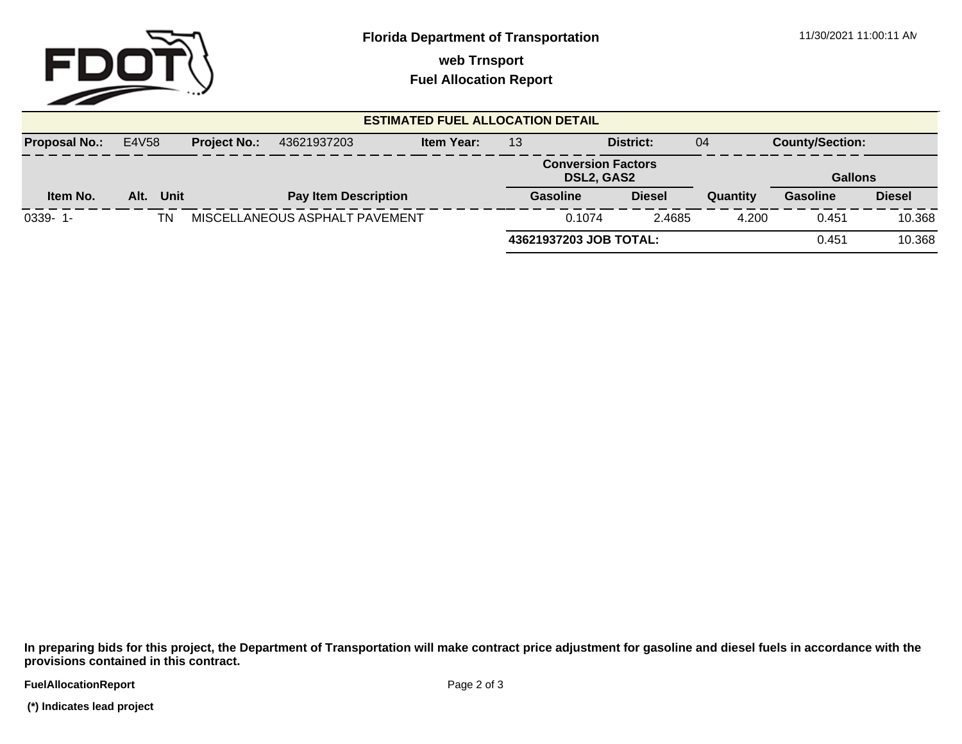

**web Trnsport**

**Fuel Allocation Report**

| <b>ESTIMATED FUEL ALLOCATION DETAIL</b> |       |      |                     |                                |                   |                                                |                        |               |                |                        |               |
|-----------------------------------------|-------|------|---------------------|--------------------------------|-------------------|------------------------------------------------|------------------------|---------------|----------------|------------------------|---------------|
| <b>Proposal No.:</b>                    | E4V58 |      | <b>Project No.:</b> | 43621937203                    | <b>Item Year:</b> | District:<br>13                                |                        |               | 04             | <b>County/Section:</b> |               |
|                                         |       |      |                     |                                |                   | <b>Conversion Factors</b><br><b>DSL2, GAS2</b> |                        |               | <b>Gallons</b> |                        |               |
| Item No.                                | Alt.  | Unit |                     | <b>Pay Item Description</b>    |                   | Gasoline                                       |                        | <b>Diesel</b> | Quantity       | <b>Gasoline</b>        | <b>Diesel</b> |
| $0339 - 1$                              |       | ΤN   |                     | MISCELLANEOUS ASPHALT PAVEMENT |                   |                                                | 0.1074                 | 2.4685        | 4.200          | 0.451                  | 10.368        |
|                                         |       |      |                     |                                |                   |                                                | 43621937203 JOB TOTAL: |               |                | 0.451                  | 10.368        |

**In preparing bids for this project, the Department of Transportation will make contract price adjustment for gasoline and diesel fuels in accordance with the provisions contained in this contract.**

**FuelAllocationReport** 

 **(\*) Indicates lead project**